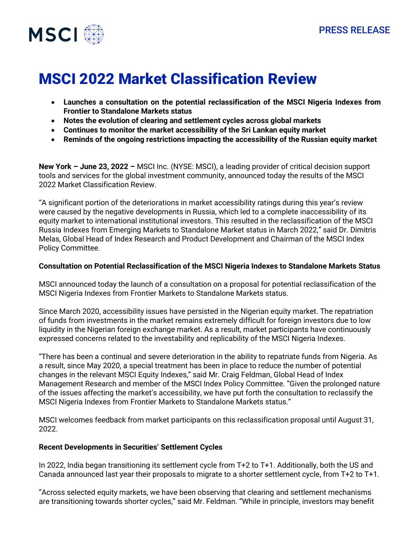

# MSCI 2022 Market Classification Review

- **Launches a consultation on the potential reclassification of the MSCI Nigeria Indexes from Frontier to Standalone Markets status**
- **Notes the evolution of clearing and settlement cycles across global markets**
- **Continues to monitor the market accessibility of the Sri Lankan equity market**
- **Reminds of the ongoing restrictions impacting the accessibility of the Russian equity market**

**New York – June 23, 2022 –** MSCI Inc. (NYSE: MSCI), a leading provider of critical decision support tools and services for the global investment community, announced today the results of the MSCI 2022 Market Classification Review.

"A significant portion of the deteriorations in market accessibility ratings during this year's review were caused by the negative developments in Russia, which led to a complete inaccessibility of its equity market to international institutional investors. This resulted in the reclassification of the MSCI Russia Indexes from Emerging Markets to Standalone Market status in March 2022," said Dr. Dimitris Melas, Global Head of Index Research and Product Development and Chairman of the MSCI Index Policy Committee.

#### **Consultation on Potential Reclassification of the MSCI Nigeria Indexes to Standalone Markets Status**

MSCI announced today the launch of a consultation on a proposal for potential reclassification of the MSCI Nigeria Indexes from Frontier Markets to Standalone Markets status.

Since March 2020, accessibility issues have persisted in the Nigerian equity market. The repatriation of funds from investments in the market remains extremely difficult for foreign investors due to low liquidity in the Nigerian foreign exchange market. As a result, market participants have continuously expressed concerns related to the investability and replicability of the MSCI Nigeria Indexes.

"There has been a continual and severe deterioration in the ability to repatriate funds from Nigeria. As a result, since May 2020, a special treatment has been in place to reduce the number of potential changes in the relevant MSCI Equity Indexes," said Mr. Craig Feldman, Global Head of Index Management Research and member of the MSCI Index Policy Committee. "Given the prolonged nature of the issues affecting the market's accessibility, we have put forth the consultation to reclassify the MSCI Nigeria Indexes from Frontier Markets to Standalone Markets status."

MSCI welcomes feedback from market participants on this reclassification proposal until August 31, 2022.

## **Recent Developments in Securities' Settlement Cycles**

In 2022, India began transitioning its settlement cycle from T+2 to T+1. Additionally, both the US and Canada announced last year their proposals to migrate to a shorter settlement cycle, from T+2 to T+1.

"Across selected equity markets, we have been observing that clearing and settlement mechanisms are transitioning towards shorter cycles," said Mr. Feldman. "While in principle, investors may benefit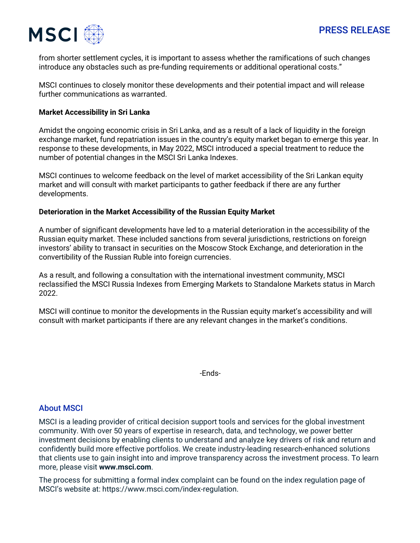

from shorter settlement cycles, it is important to assess whether the ramifications of such changes introduce any obstacles such as pre-funding requirements or additional operational costs."

MSCI continues to closely monitor these developments and their potential impact and will release further communications as warranted.

### **Market Accessibility in Sri Lanka**

Amidst the ongoing economic crisis in Sri Lanka, and as a result of a lack of liquidity in the foreign exchange market, fund repatriation issues in the country's equity market began to emerge this year. In response to these developments, in May 2022, MSCI introduced a special treatment to reduce the number of potential changes in the MSCI Sri Lanka Indexes.

MSCI continues to welcome feedback on the level of market accessibility of the Sri Lankan equity market and will consult with market participants to gather feedback if there are any further developments.

#### **Deterioration in the Market Accessibility of the Russian Equity Market**

A number of significant developments have led to a material deterioration in the accessibility of the Russian equity market. These included sanctions from several jurisdictions, restrictions on foreign investors' ability to transact in securities on the Moscow Stock Exchange, and deterioration in the convertibility of the Russian Ruble into foreign currencies.

As a result, and following a consultation with the international investment community, MSCI reclassified the MSCI Russia Indexes from Emerging Markets to Standalone Markets status in March 2022.

MSCI will continue to monitor the developments in the Russian equity market's accessibility and will consult with market participants if there are any relevant changes in the market's conditions.

-Ends-

## About MSCI

MSCI is a leading provider of critical decision support tools and services for the global investment community. With over 50 years of expertise in research, data, and technology, we power better investment decisions by enabling clients to understand and analyze key drivers of risk and return and confidently build more effective portfolios. We create industry-leading research-enhanced solutions that clients use to gain insight into and improve transparency across the investment process. To learn more, please visit **[www.msci.com](http://www.msci.com/)**.

The process for submitting a formal index complaint can be found on the index regulation page of MSCI's website at: https://www.msci.com/index-regulation.